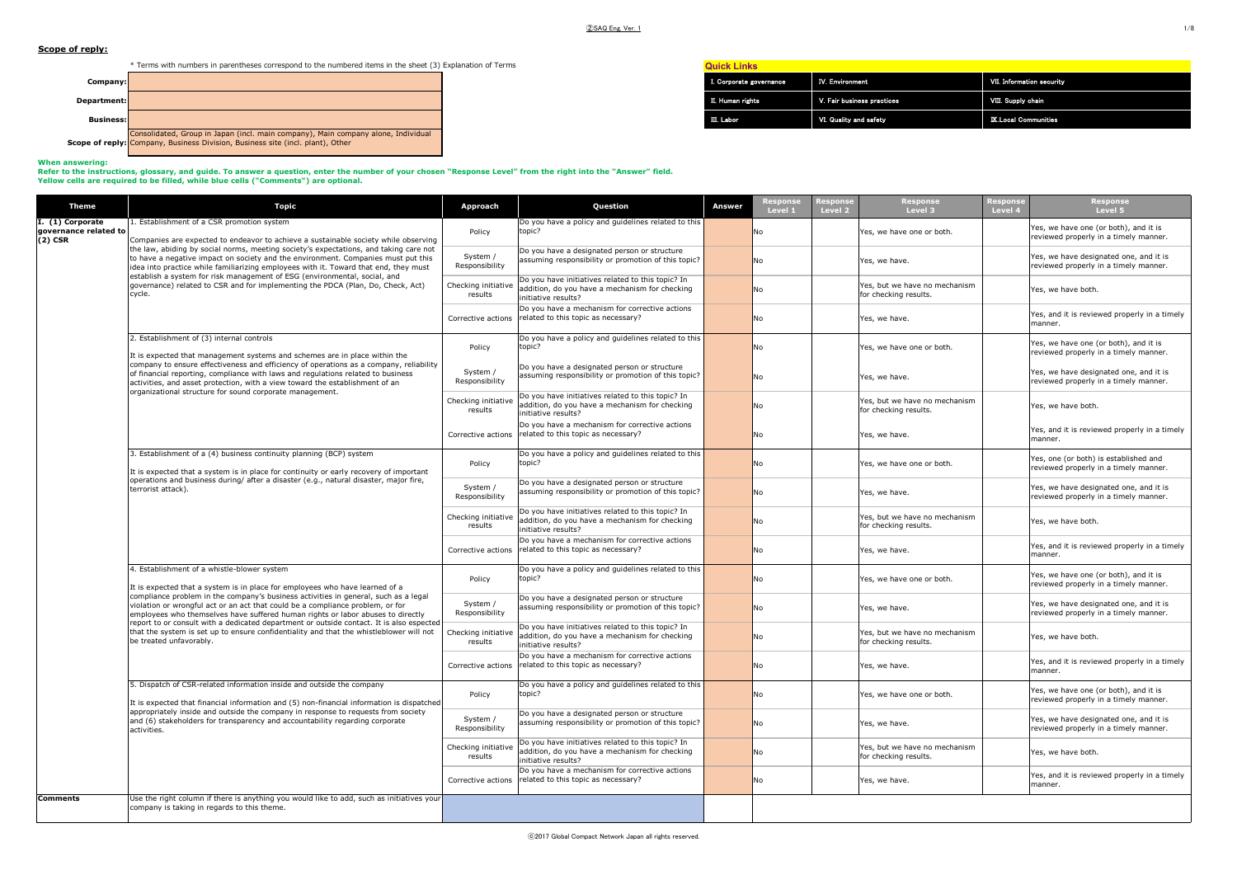**Quick Links**

# **Scope of reply:**

\* Terms with numbers in parentheses correspond to the numbered items in the sheet (3) Explanation of Terms



# **When answering:**

Refer to the instructions, glossary, and guide. To answer a question, enter the number of your chosen "Response Level" from the right into the "Answer" field.<br>Yellow cells are required to be filled, while blue cells ("Comm

| <b>Theme</b>                                         | Topic                                                                                                                                                                                                                                                                                                                                                  | Approach                       | Question                                                                                                                   | Answer | Response<br><b>Response</b><br>Level 1<br>Level 2 | Response<br>Level 3                                    | Response<br>Level 4 | <b>Response</b><br>Level 5                                                      |
|------------------------------------------------------|--------------------------------------------------------------------------------------------------------------------------------------------------------------------------------------------------------------------------------------------------------------------------------------------------------------------------------------------------------|--------------------------------|----------------------------------------------------------------------------------------------------------------------------|--------|---------------------------------------------------|--------------------------------------------------------|---------------------|---------------------------------------------------------------------------------|
| I. (1) Corporate<br>governance related to<br>(2) CSR | 1. Establishment of a CSR promotion system<br>Companies are expected to endeavor to achieve a sustainable society while observing                                                                                                                                                                                                                      | Policy                         | Do you have a policy and quidelines related to this<br>topic?                                                              |        | No                                                | Yes, we have one or both.                              |                     | Yes, we have one (or both), and it is<br>reviewed properly in a timely manner.  |
|                                                      | the law, abiding by social norms, meeting society's expectations, and taking care not<br>to have a negative impact on society and the environment. Companies must put this<br>idea into practice while familiarizing employees with it. Toward that end, they must                                                                                     | System /<br>Responsibility     | Do you have a designated person or structure<br>assuming responsibility or promotion of this topic?                        |        | No                                                | Yes, we have.                                          |                     | Yes, we have designated one, and it is<br>reviewed properly in a timely manner. |
|                                                      | establish a system for risk management of ESG (environmental, social, and<br>governance) related to CSR and for implementing the PDCA (Plan, Do, Check, Act)<br>cycle.                                                                                                                                                                                 | Checking initiative<br>results | Do you have initiatives related to this topic? In<br>addition, do you have a mechanism for checking<br>initiative results? |        | No                                                | Yes, but we have no mechanism<br>for checking results. |                     | Yes, we have both.                                                              |
|                                                      |                                                                                                                                                                                                                                                                                                                                                        | Corrective actions             | Do you have a mechanism for corrective actions<br>related to this topic as necessary?                                      |        | No                                                | Yes, we have.                                          |                     | Yes, and it is reviewed properly in a timely<br>manner.                         |
|                                                      | 2. Establishment of (3) internal controls<br>It is expected that management systems and schemes are in place within the                                                                                                                                                                                                                                | Policy                         | Do you have a policy and guidelines related to this<br>topic?                                                              |        | <b>No</b>                                         | Yes, we have one or both.                              |                     | Yes, we have one (or both), and it is<br>reviewed properly in a timely manner.  |
|                                                      | company to ensure effectiveness and efficiency of operations as a company, reliability<br>of financial reporting, compliance with laws and regulations related to business<br>activities, and asset protection, with a view toward the establishment of an<br>organizational structure for sound corporate management.                                 | System /<br>Responsibility     | Do you have a designated person or structure<br>assuming responsibility or promotion of this topic?                        |        | <b>No</b>                                         | Yes, we have.                                          |                     | Yes, we have designated one, and it is<br>reviewed properly in a timely manner. |
|                                                      |                                                                                                                                                                                                                                                                                                                                                        | Checking initiative<br>results | Do you have initiatives related to this topic? In<br>addition, do you have a mechanism for checking<br>initiative results? |        | <b>No</b>                                         | Yes, but we have no mechanism<br>for checking results. |                     | Yes, we have both.                                                              |
|                                                      |                                                                                                                                                                                                                                                                                                                                                        | Corrective actions             | Do you have a mechanism for corrective actions<br>related to this topic as necessary?                                      |        | <b>No</b>                                         | Yes, we have.                                          |                     | Yes, and it is reviewed properly in a timely<br>manner.                         |
|                                                      | 3. Establishment of a (4) business continuity planning (BCP) system<br>It is expected that a system is in place for continuity or early recovery of important                                                                                                                                                                                          | Policy                         | Do you have a policy and guidelines related to this<br>topic?                                                              |        | No                                                | Yes, we have one or both.                              |                     | Yes, one (or both) is established and<br>reviewed properly in a timely manner.  |
|                                                      | operations and business during/ after a disaster (e.g., natural disaster, major fire,<br>terrorist attack).                                                                                                                                                                                                                                            | System /<br>Responsibility     | Do you have a designated person or structure<br>assuming responsibility or promotion of this topic?                        |        | No                                                | Yes, we have.                                          |                     | Yes, we have designated one, and it is<br>reviewed properly in a timely manner. |
|                                                      |                                                                                                                                                                                                                                                                                                                                                        | Checking initiative<br>results | Do you have initiatives related to this topic? In<br>addition, do you have a mechanism for checking<br>initiative results? |        | No                                                | Yes, but we have no mechanism<br>for checking results. |                     | Yes, we have both.                                                              |
|                                                      |                                                                                                                                                                                                                                                                                                                                                        | Corrective actions             | Do you have a mechanism for corrective actions<br>related to this topic as necessary?                                      |        | <b>No</b>                                         | Yes, we have.                                          |                     | Yes, and it is reviewed properly in a timely<br>manner.                         |
|                                                      | 4. Establishment of a whistle-blower system<br>It is expected that a system is in place for employees who have learned of a                                                                                                                                                                                                                            | Policy                         | Do you have a policy and quidelines related to this<br>topic?                                                              |        | No                                                | Yes, we have one or both.                              |                     | Yes, we have one (or both), and it is<br>reviewed properly in a timely manner.  |
|                                                      | compliance problem in the company's business activities in general, such as a legal<br>violation or wrongful act or an act that could be a compliance problem, or for<br>employees who themselves have suffered human rights or labor abuses to directly<br>report to or consult with a dedicated department or outside contact. It is also espected   | System /<br>Responsibility     | Do you have a designated person or structure<br>assuming responsibility or promotion of this topic?                        |        | No                                                | Yes, we have.                                          |                     | Yes, we have designated one, and it is<br>reviewed properly in a timely manner. |
|                                                      | that the system is set up to ensure confidentiality and that the whistleblower will not<br>be treated unfavorably.                                                                                                                                                                                                                                     | Checking initiative<br>results | Do you have initiatives related to this topic? In<br>addition, do you have a mechanism for checking<br>initiative results? |        | No                                                | Yes, but we have no mechanism<br>for checking results. |                     | Yes, we have both.                                                              |
|                                                      |                                                                                                                                                                                                                                                                                                                                                        | Corrective actions             | Do you have a mechanism for corrective actions<br>related to this topic as necessary?                                      |        | No                                                | Yes, we have.                                          |                     | Yes, and it is reviewed properly in a timely<br>manner.                         |
|                                                      | 5. Dispatch of CSR-related information inside and outside the company<br>It is expected that financial information and (5) non-financial information is dispatched<br>appropriately inside and outside the company in response to requests from society<br>and (6) stakeholders for transparency and accountability regarding corporate<br>activities. | Policy                         | Do you have a policy and guidelines related to this<br>topic?                                                              |        | No                                                | Yes, we have one or both.                              |                     | Yes, we have one (or both), and it is<br>reviewed properly in a timely manner.  |
|                                                      |                                                                                                                                                                                                                                                                                                                                                        | System /<br>Responsibility     | Do you have a designated person or structure<br>assuming responsibility or promotion of this topic?                        |        | No                                                | Yes, we have.                                          |                     | Yes, we have designated one, and it is<br>reviewed properly in a timely manner. |
|                                                      |                                                                                                                                                                                                                                                                                                                                                        | Checking initiative<br>results | Do you have initiatives related to this topic? In<br>addition, do you have a mechanism for checking<br>initiative results? |        | <b>No</b>                                         | Yes, but we have no mechanism<br>for checking results. |                     | Yes, we have both.                                                              |
|                                                      |                                                                                                                                                                                                                                                                                                                                                        | Corrective actions             | Do you have a mechanism for corrective actions<br>related to this topic as necessary?                                      |        | No                                                | Yes, we have.                                          |                     | Yes, and it is reviewed properly in a timely<br>manner.                         |
| Comments                                             | Use the right column if there is anything you would like to add, such as initiatives your<br>company is taking in regards to this theme.                                                                                                                                                                                                               |                                |                                                                                                                            |        |                                                   |                                                        |                     |                                                                                 |

# IV. Environment VII. Information security

| I. Corporate governance | IV. Environment            | <b>VII. Information security</b> |
|-------------------------|----------------------------|----------------------------------|
| II. Human rights        | V. Fair business practices | VIII. Supply chain               |
| III. Labor              | VI. Quality and safety     | <b>IX Local Communities</b>      |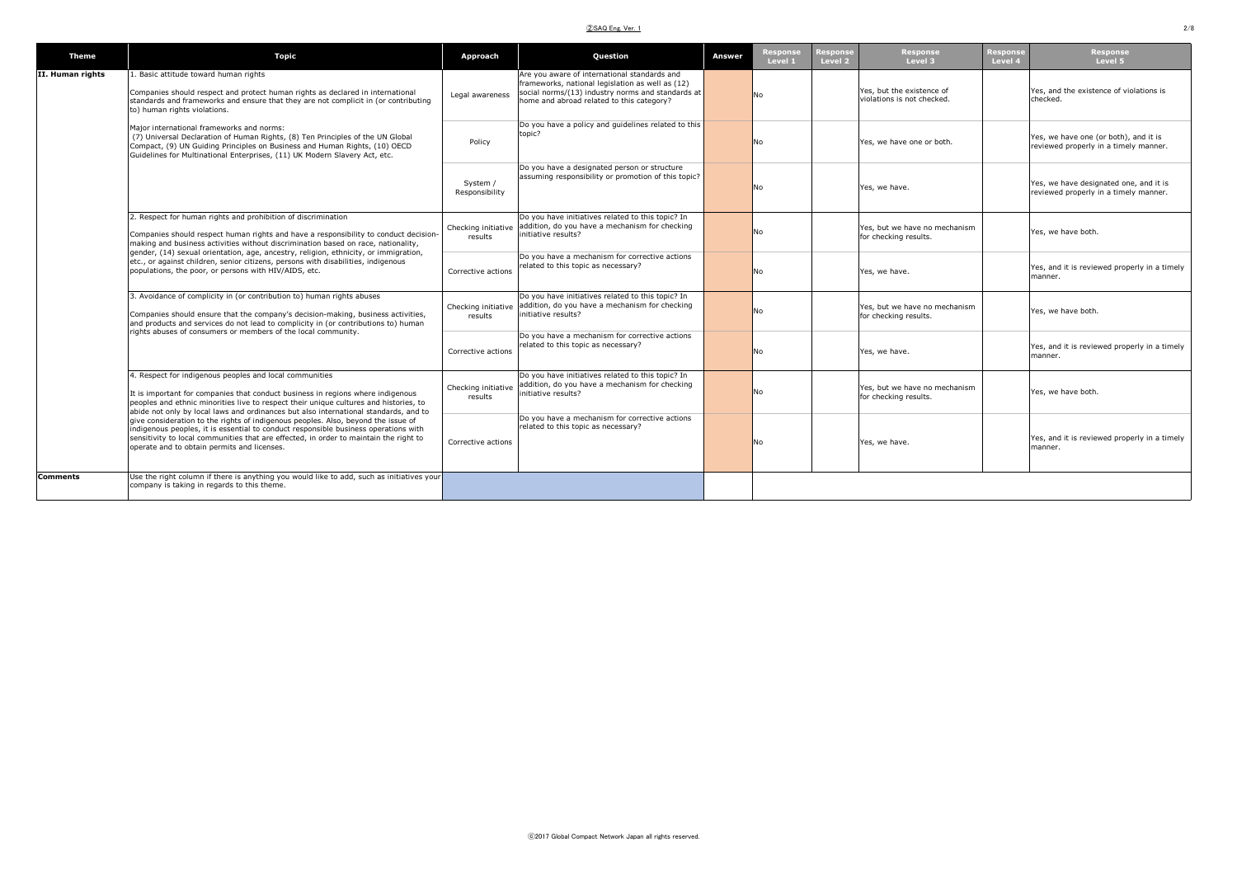| <b>Theme</b>     | <b>Topic</b>                                                                                                                                                                                                                                                                                                                                                                                                                                                                                                                                                                                                                                    | Approach                       | Question                                                                                                                                                                                           | <b>Answer</b> | <b>Response</b><br>Level 1 | <b>lesponse</b><br>Level 2 | <b>Response</b><br>Level 3                              | Response<br>Level 4 | Response<br>Level 5                                                             |
|------------------|-------------------------------------------------------------------------------------------------------------------------------------------------------------------------------------------------------------------------------------------------------------------------------------------------------------------------------------------------------------------------------------------------------------------------------------------------------------------------------------------------------------------------------------------------------------------------------------------------------------------------------------------------|--------------------------------|----------------------------------------------------------------------------------------------------------------------------------------------------------------------------------------------------|---------------|----------------------------|----------------------------|---------------------------------------------------------|---------------------|---------------------------------------------------------------------------------|
| II. Human rights | 1. Basic attitude toward human rights<br>Companies should respect and protect human rights as declared in international<br>standards and frameworks and ensure that they are not complicit in (or contributing<br>to) human rights violations.                                                                                                                                                                                                                                                                                                                                                                                                  | Legal awareness                | Are you aware of international standards and<br>frameworks, national legislation as well as (12)<br>social norms/(13) industry norms and standards at<br>home and abroad related to this category? |               | No                         |                            | Yes, but the existence of<br>violations is not checked. |                     | Yes, and the existence of violations is<br>checked.                             |
|                  | Major international frameworks and norms:<br>(7) Universal Declaration of Human Rights, (8) Ten Principles of the UN Global<br>Compact, (9) UN Guiding Principles on Business and Human Rights, (10) OECD<br>Guidelines for Multinational Enterprises, (11) UK Modern Slavery Act, etc.                                                                                                                                                                                                                                                                                                                                                         | Policy                         | Do you have a policy and quidelines related to this<br>topic?                                                                                                                                      |               | No                         |                            | Yes, we have one or both.                               |                     | Yes, we have one (or both), and it is<br>reviewed properly in a timely manner.  |
|                  |                                                                                                                                                                                                                                                                                                                                                                                                                                                                                                                                                                                                                                                 | System /<br>Responsibility     | Do you have a designated person or structure<br>assuming responsibility or promotion of this topic?                                                                                                |               | No                         |                            | Yes, we have.                                           |                     | Yes, we have designated one, and it is<br>reviewed properly in a timely manner. |
|                  | 2. Respect for human rights and prohibition of discrimination<br>Companies should respect human rights and have a responsibility to conduct decision-<br>making and business activities without discrimination based on race, nationality,                                                                                                                                                                                                                                                                                                                                                                                                      | Checking initiative<br>results | Do you have initiatives related to this topic? In<br>addition, do you have a mechanism for checking<br>initiative results?                                                                         |               | No                         |                            | Yes, but we have no mechanism<br>for checking results.  |                     | Yes, we have both.                                                              |
|                  | gender, (14) sexual orientation, age, ancestry, religion, ethnicity, or immigration,<br>etc., or against children, senior citizens, persons with disabilities, indigenous<br>populations, the poor, or persons with HIV/AIDS, etc.                                                                                                                                                                                                                                                                                                                                                                                                              | Corrective actions             | Do you have a mechanism for corrective actions<br>related to this topic as necessary?                                                                                                              |               | No                         |                            | Yes, we have.                                           |                     | Yes, and it is reviewed properly in a timely<br>manner.                         |
|                  | 3. Avoidance of complicity in (or contribution to) human rights abuses<br>Companies should ensure that the company's decision-making, business activities,<br>and products and services do not lead to complicity in (or contributions to) human                                                                                                                                                                                                                                                                                                                                                                                                | results                        | Do you have initiatives related to this topic? In<br>Checking initiative addition, do you have a mechanism for checking<br>initiative results?                                                     |               | No                         |                            | Yes, but we have no mechanism<br>for checking results.  |                     | Yes, we have both.                                                              |
|                  | rights abuses of consumers or members of the local community.                                                                                                                                                                                                                                                                                                                                                                                                                                                                                                                                                                                   | Corrective actions             | Do you have a mechanism for corrective actions<br>related to this topic as necessary?                                                                                                              |               | No                         |                            | Yes, we have.                                           |                     | Yes, and it is reviewed properly in a timely<br>manner                          |
|                  | 4. Respect for indigenous peoples and local communities<br>It is important for companies that conduct business in regions where indigenous<br>peoples and ethnic minorities live to respect their unique cultures and histories, to<br>abide not only by local laws and ordinances but also international standards, and to<br>give consideration to the rights of indigenous peoples. Also, beyond the issue of<br>indigenous peoples, it is essential to conduct responsible business operations with<br>sensitivity to local communities that are effected, in order to maintain the right to<br>operate and to obtain permits and licenses. | Checking initiative<br>results | Do you have initiatives related to this topic? In<br>addition, do you have a mechanism for checking<br>initiative results?                                                                         |               | No                         |                            | Yes, but we have no mechanism<br>for checking results.  |                     | Yes, we have both.                                                              |
|                  |                                                                                                                                                                                                                                                                                                                                                                                                                                                                                                                                                                                                                                                 | Corrective actions             | Do you have a mechanism for corrective actions<br>related to this topic as necessary?                                                                                                              |               | No                         |                            | Yes, we have.                                           |                     | Yes, and it is reviewed properly in a timely<br>manner                          |
| Comments         | Use the right column if there is anything you would like to add, such as initiatives your<br>company is taking in regards to this theme.                                                                                                                                                                                                                                                                                                                                                                                                                                                                                                        |                                |                                                                                                                                                                                                    |               |                            |                            |                                                         |                     |                                                                                 |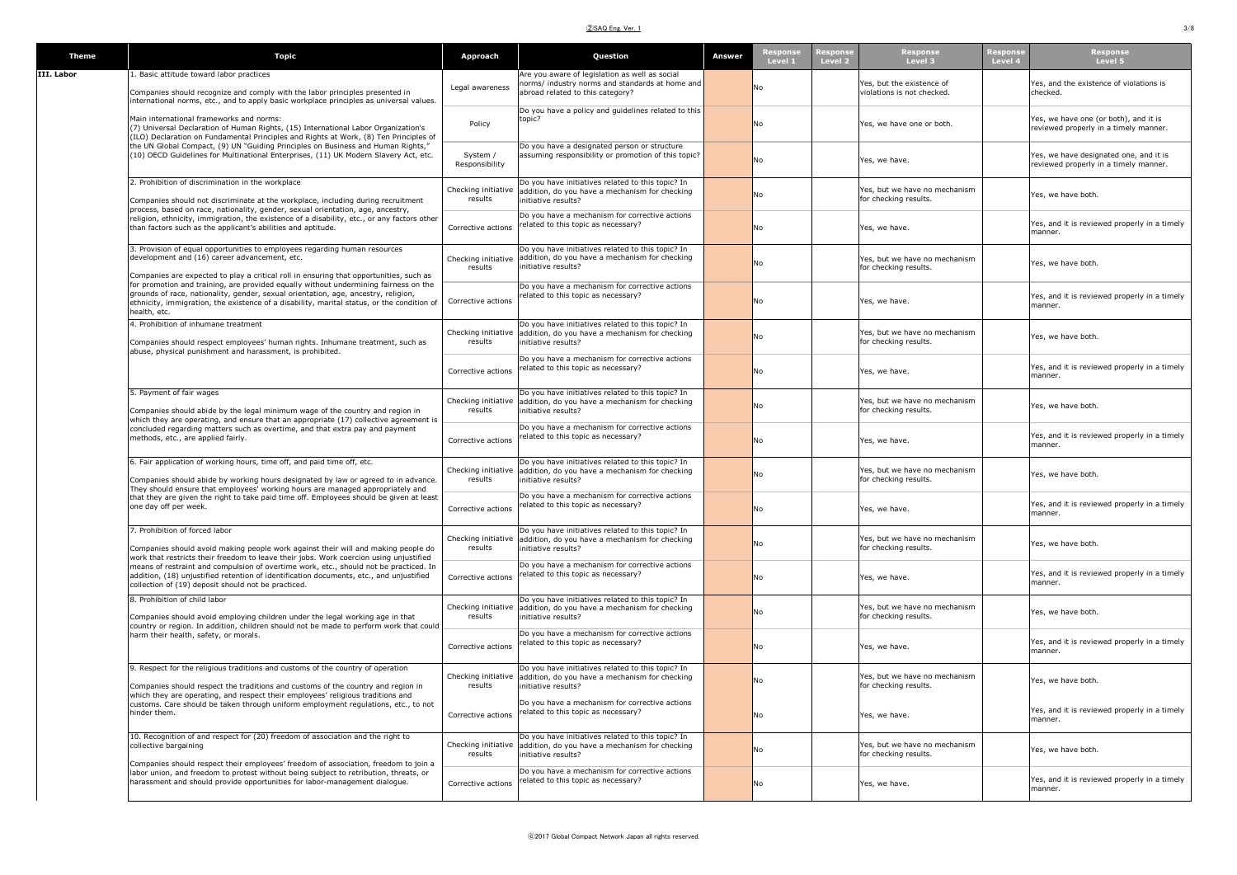#### ②SAQ Eng. Ver. 1 3/8

| <b>Theme</b> | <b>Topic</b>                                                                                                                                                                                                                                                                             | Approach                       | Question                                                                                                                                       | Answer | espons<br>Level 1 | Response<br>Level 3<br>lespons<br>Level 2               | espons<br>Level 4 | Response<br>Level 5                                                             |
|--------------|------------------------------------------------------------------------------------------------------------------------------------------------------------------------------------------------------------------------------------------------------------------------------------------|--------------------------------|------------------------------------------------------------------------------------------------------------------------------------------------|--------|-------------------|---------------------------------------------------------|-------------------|---------------------------------------------------------------------------------|
| III. Labor   | 1. Basic attitude toward labor practices                                                                                                                                                                                                                                                 |                                | Are you aware of legislation as well as social                                                                                                 |        |                   |                                                         |                   |                                                                                 |
|              | Companies should recognize and comply with the labor principles presented in<br>international norms, etc., and to apply basic workplace principles as universal values.                                                                                                                  | Legal awareness                | norms/ industry norms and standards at home and<br>abroad related to this category?                                                            |        | No                | Yes, but the existence of<br>violations is not checked. |                   | Yes, and the existence of violations is<br>checked.                             |
|              | Main international frameworks and norms:<br>(7) Universal Declaration of Human Rights, (15) International Labor Organization's<br>(ILO) Declaration on Fundamental Principles and Rights at Work, (8) Ten Principles of                                                                  | Policy                         | Do you have a policy and guidelines related to this<br>topic?                                                                                  |        | No                | Yes, we have one or both.                               |                   | Yes, we have one (or both), and it is<br>reviewed properly in a timely manner.  |
|              | the UN Global Compact, (9) UN "Guiding Principles on Business and Human Rights,"<br>(10) OECD Guidelines for Multinational Enterprises, (11) UK Modern Slavery Act, etc.                                                                                                                 | System /<br>Responsibility     | Do you have a designated person or structure<br>assuming responsibility or promotion of this topic?                                            |        | No                | Yes, we have.                                           |                   | Yes, we have designated one, and it is<br>reviewed properly in a timely manner. |
|              | 2. Prohibition of discrimination in the workplace<br>Companies should not discriminate at the workplace, including during recruitment<br>process, based on race, nationality, gender, sexual orientation, age, ancestry,                                                                 | Checking initiative<br>results | Do you have initiatives related to this topic? In<br>addition, do you have a mechanism for checking<br>initiative results?                     |        | No                | Yes, but we have no mechanism<br>for checking results.  |                   | Yes, we have both                                                               |
|              | religion, ethnicity, immigration, the existence of a disability, etc., or any factors other<br>than factors such as the applicant's abilities and aptitude.                                                                                                                              | Corrective actions             | Do you have a mechanism for corrective actions<br>related to this topic as necessary?                                                          |        | No                | Yes, we have.                                           |                   | Yes, and it is reviewed properly in a timely<br>manner.                         |
|              | 3. Provision of equal opportunities to employees regarding human resources<br>development and (16) career advancement, etc.<br>Companies are expected to play a critical roll in ensuring that opportunities, such as                                                                    | Checking initiative<br>results | Do you have initiatives related to this topic? In<br>addition, do you have a mechanism for checking<br>nitiative results?                      |        | <b>No</b>         | Yes, but we have no mechanism<br>for checking results.  |                   | Yes, we have both.                                                              |
|              | for promotion and training, are provided equally without undermining fairness on the<br>grounds of race, nationality, gender, sexual orientation, age, ancestry, religion,<br>ethnicity, immigration, the existence of a disability, marital status, or the condition of<br>health, etc. | Corrective actions             | Do you have a mechanism for corrective actions<br>related to this topic as necessary?                                                          |        | No                | Yes, we have.                                           |                   | Yes, and it is reviewed properly in a timely<br>manner.                         |
|              | 4. Prohibition of inhumane treatment<br>Companies should respect employees' human rights. Inhumane treatment, such as<br>abuse, physical punishment and harassment, is prohibited.                                                                                                       | Checking initiative<br>results | Do you have initiatives related to this topic? In<br>addition, do you have a mechanism for checking<br>nitiative results?                      |        | No                | Yes, but we have no mechanism<br>for checking results.  |                   | Yes, we have both.                                                              |
|              |                                                                                                                                                                                                                                                                                          | Corrective actions             | Do you have a mechanism for corrective actions<br>related to this topic as necessary?                                                          |        | No                | Yes, we have.                                           |                   | Yes, and it is reviewed properly in a timely<br>manner.                         |
|              | 5. Payment of fair wages<br>Companies should abide by the legal minimum wage of the country and region in<br>which they are operating, and ensure that an appropriate (17) collective agreement is                                                                                       | Checking initiative<br>results | Do you have initiatives related to this topic? In<br>addition, do you have a mechanism for checking<br>initiative results?                     |        | No.               | Yes, but we have no mechanism<br>for checking results.  |                   | Yes, we have both.                                                              |
|              | concluded regarding matters such as overtime, and that extra pay and payment<br>methods, etc., are applied fairly.                                                                                                                                                                       | Corrective actions             | Do you have a mechanism for corrective actions<br>related to this topic as necessary?                                                          |        | No                | Yes, we have.                                           |                   | Yes, and it is reviewed properly in a timely<br>manner.                         |
|              | 6. Fair application of working hours, time off, and paid time off, etc.<br>Companies should abide by working hours designated by law or agreed to in advance.<br>They should ensure that employees' working hours are managed appropriately and                                          | results                        | Do you have initiatives related to this topic? In<br>Checking initiative addition, do you have a mechanism for checking<br>initiative results? |        | No                | Yes, but we have no mechanism<br>for checking results.  |                   | Yes, we have both.                                                              |
|              | that they are given the right to take paid time off. Employees should be given at least<br>one day off per week.                                                                                                                                                                         | Corrective actions             | Do you have a mechanism for corrective actions<br>related to this topic as necessary?                                                          |        | No                | Yes, we have.                                           |                   | Yes, and it is reviewed properly in a timely<br>manner.                         |
|              | 7. Prohibition of forced labor<br>Companies should avoid making people work against their will and making people do<br>work that restricts their freedom to leave their jobs. Work coercion using unjustified                                                                            | Checking initiative<br>results | Do you have initiatives related to this topic? In<br>addition, do you have a mechanism for checking<br>initiative results?                     |        | <b>No</b>         | Yes, but we have no mechanism<br>for checking results.  |                   | Yes, we have both.                                                              |
|              | means of restraint and compulsion of overtime work, etc., should not be practiced. In<br>addition, (18) unjustified retention of identification documents, etc., and unjustified<br>collection of (19) deposit should not be practiced.                                                  | Corrective actions             | Do you have a mechanism for corrective actions<br>related to this topic as necessary?                                                          |        | No                | Yes, we have.                                           |                   | Yes, and it is reviewed properly in a timely<br>manner.                         |
|              | 8. Prohibition of child labor<br>Companies should avoid employing children under the legal working age in that<br>country or region. In addition, children should not be made to perform work that could                                                                                 | Checking initiative<br>results | Do you have initiatives related to this topic? In<br>addition, do you have a mechanism for checking<br>nitiative results?                      |        | No                | Yes, but we have no mechanism<br>for checking results.  |                   | Yes, we have both.                                                              |
|              | harm their health, safety, or morals.                                                                                                                                                                                                                                                    | Corrective actions             | Do you have a mechanism for corrective actions<br>related to this topic as necessary?                                                          |        | No                | Yes, we have.                                           |                   | Yes, and it is reviewed properly in a timely<br>manner.                         |
|              | 9. Respect for the religious traditions and customs of the country of operation<br>Companies should respect the traditions and customs of the country and region in<br>which they are operating, and respect their employees' religious traditions and                                   | Checking initiative<br>results | Do you have initiatives related to this topic? In<br>addition, do you have a mechanism for checking<br>nitiative results?                      |        | N <sub>o</sub>    | Yes, but we have no mechanism<br>for checking results.  |                   | Yes, we have both.                                                              |
|              | customs. Care should be taken through uniform employment regulations, etc., to not<br>hinder them.                                                                                                                                                                                       | Corrective actions             | Do you have a mechanism for corrective actions<br>related to this topic as necessary?                                                          |        | <b>No</b>         | Yes, we have.                                           |                   | Yes, and it is reviewed properly in a timely<br>manner.                         |
|              | 10. Recognition of and respect for (20) freedom of association and the right to<br>collective bargaining                                                                                                                                                                                 | results                        | Do you have initiatives related to this topic? In<br>Checking initiative addition, do you have a mechanism for checking<br>initiative results? |        | No                | Yes, but we have no mechanism<br>for checking results.  |                   | Yes, we have both.                                                              |
|              | Companies should respect their employees' freedom of association, freedom to join a<br>labor union, and freedom to protest without being subject to retribution, threats, or<br>harassment and should provide opportunities for labor-management dialogue.                               | Corrective actions             | Do you have a mechanism for corrective actions<br>related to this topic as necessary?                                                          |        | No                | Yes, we have.                                           |                   | Yes, and it is reviewed properly in a timely<br>manner.                         |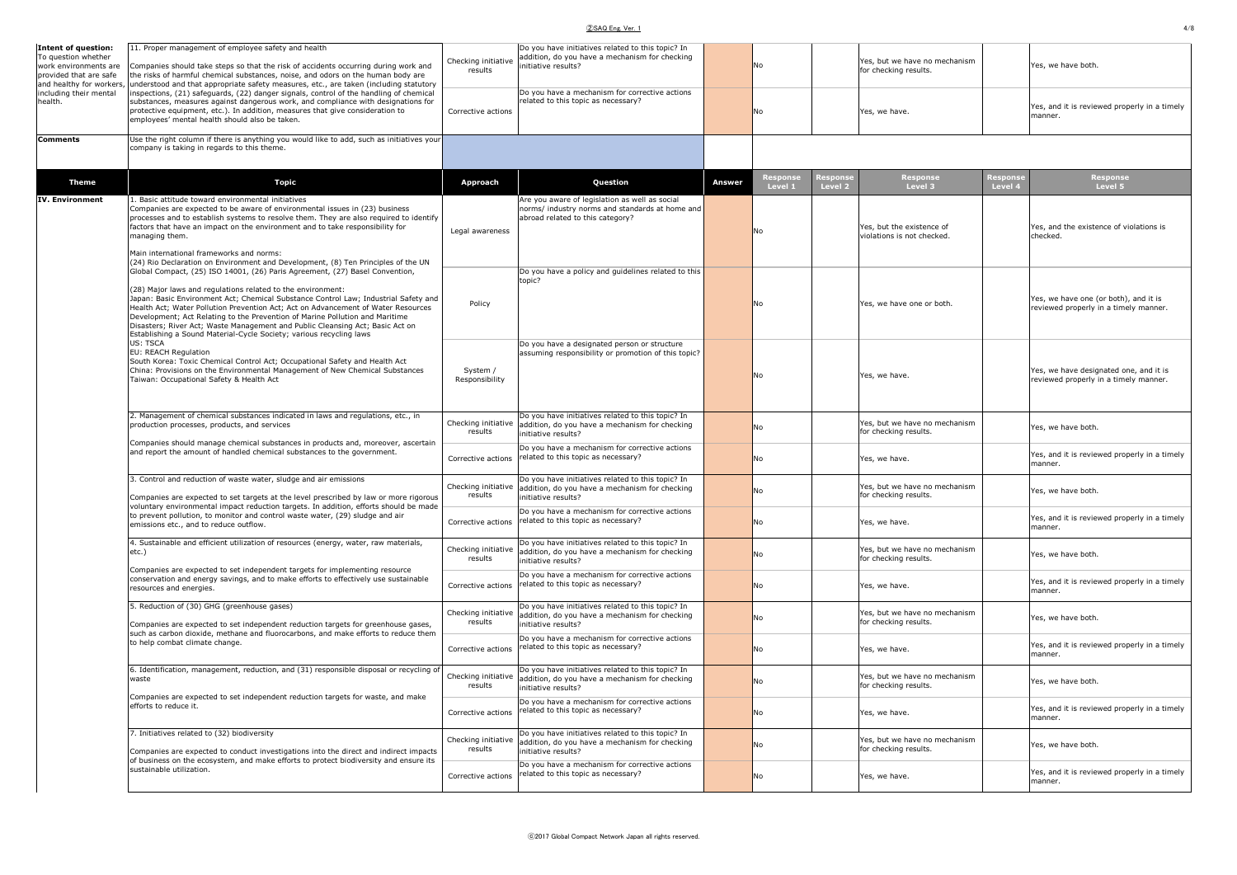#### ②SAQ Eng. Ver. 1 4/8

|--|

| <b>Intent of question:</b><br>To question whether                           | 11. Proper management of employee safety and health                                                                                                                                                                                                                                                                                                                                                                                                                                                                                                             | Checking initiative            | Do you have initiatives related to this topic? In<br>addition, do you have a mechanism for checking                                   |        |                    | Yes, but we have no mechanism                                    |                                                                                 |
|-----------------------------------------------------------------------------|-----------------------------------------------------------------------------------------------------------------------------------------------------------------------------------------------------------------------------------------------------------------------------------------------------------------------------------------------------------------------------------------------------------------------------------------------------------------------------------------------------------------------------------------------------------------|--------------------------------|---------------------------------------------------------------------------------------------------------------------------------------|--------|--------------------|------------------------------------------------------------------|---------------------------------------------------------------------------------|
| work environments are<br>provided that are safe<br>and healthy for workers, | Companies should take steps so that the risk of accidents occurring during work and<br>the risks of harmful chemical substances, noise, and odors on the human body are<br>understood and that appropriate safety measures, etc., are taken (including statutory                                                                                                                                                                                                                                                                                                | results                        | initiative results?                                                                                                                   |        | No                 | for checking results.                                            | Yes, we have both.                                                              |
| including their mental<br>health.                                           | inspections, (21) safeguards, (22) danger signals, control of the handling of chemical<br>substances, measures against dangerous work, and compliance with designations for<br>protective equipment, etc.). In addition, measures that give consideration to<br>employees' mental health should also be taken.                                                                                                                                                                                                                                                  | Corrective actions             | Do you have a mechanism for corrective actions<br>related to this topic as necessary?                                                 |        | No                 | Yes, we have.                                                    | Yes, and it is reviewed properly in a timely<br>manner.                         |
| <b>Comments</b>                                                             | Use the right column if there is anything you would like to add, such as initiatives your<br>company is taking in regards to this theme.                                                                                                                                                                                                                                                                                                                                                                                                                        |                                |                                                                                                                                       |        |                    |                                                                  |                                                                                 |
| <b>Theme</b>                                                                | <b>Topic</b>                                                                                                                                                                                                                                                                                                                                                                                                                                                                                                                                                    | Approach                       | Question                                                                                                                              | Answer | Respons<br>Level 1 | Response<br>Level 3<br>Response<br>Level 4<br>esponse<br>Level 2 | Response<br>Level 5                                                             |
| <b>IV. Environment</b>                                                      | 1. Basic attitude toward environmental initiatives<br>Companies are expected to be aware of environmental issues in (23) business<br>processes and to establish systems to resolve them. They are also required to identify<br>factors that have an impact on the environment and to take responsibility for<br>managing them.<br>Main international frameworks and norms:<br>(24) Rio Declaration on Environment and Development, (8) Ten Principles of the UN                                                                                                 | Legal awareness                | Are you aware of legislation as well as social<br>norms/ industry norms and standards at home and<br>abroad related to this category? |        | No                 | Yes, but the existence of<br>violations is not checked.          | Yes, and the existence of violations is<br>checked.                             |
|                                                                             | Global Compact, (25) ISO 14001, (26) Paris Agreement, (27) Basel Convention,<br>(28) Major laws and regulations related to the environment:<br>Japan: Basic Environment Act; Chemical Substance Control Law; Industrial Safety and<br>Health Act; Water Pollution Prevention Act; Act on Advancement of Water Resources<br>Development; Act Relating to the Prevention of Marine Pollution and Maritime<br>Disasters; River Act; Waste Management and Public Cleansing Act; Basic Act on<br>Establishing a Sound Material-Cycle Society; various recycling laws | Policy                         | Do you have a policy and guidelines related to this<br>topic?                                                                         |        | No                 | Yes, we have one or both.                                        | Yes, we have one (or both), and it is<br>reviewed properly in a timely manner.  |
|                                                                             | US: TSCA<br>EU: REACH Regulation<br>South Korea: Toxic Chemical Control Act; Occupational Safety and Health Act<br>China: Provisions on the Environmental Management of New Chemical Substances<br>Taiwan: Occupational Safety & Health Act                                                                                                                                                                                                                                                                                                                     | System /<br>Responsibility     | Do you have a designated person or structure<br>assuming responsibility or promotion of this topic?                                   |        | No                 | Yes, we have.                                                    | Yes, we have designated one, and it is<br>reviewed properly in a timely manner. |
|                                                                             | 2. Management of chemical substances indicated in laws and regulations, etc., in<br>production processes, products, and services                                                                                                                                                                                                                                                                                                                                                                                                                                | Checking initiative<br>results | Do you have initiatives related to this topic? In<br>addition, do you have a mechanism for checking<br>nitiative results?             |        | No                 | Yes, but we have no mechanism<br>for checking results.           | Yes, we have both.                                                              |
|                                                                             | Companies should manage chemical substances in products and, moreover, ascertain<br>and report the amount of handled chemical substances to the government.                                                                                                                                                                                                                                                                                                                                                                                                     | Corrective actions             | Do you have a mechanism for corrective actions<br>related to this topic as necessary?                                                 |        | No                 | Yes, we have.                                                    | Yes, and it is reviewed properly in a timely<br>manner                          |
|                                                                             | 3. Control and reduction of waste water, sludge and air emissions<br>Companies are expected to set targets at the level prescribed by law or more rigorous                                                                                                                                                                                                                                                                                                                                                                                                      | Checking initiative<br>results | Do you have initiatives related to this topic? In<br>addition, do you have a mechanism for checking<br>initiative results?            |        | No                 | Yes, but we have no mechanism<br>for checking results.           | Yes, we have both.                                                              |
|                                                                             | voluntary environmental impact reduction targets. In addition, efforts should be made<br>to prevent pollution, to monitor and control waste water, (29) sludge and air<br>emissions etc., and to reduce outflow.                                                                                                                                                                                                                                                                                                                                                | Corrective actions             | Do you have a mechanism for corrective actions<br>related to this topic as necessary?                                                 |        | No                 | Yes, we have.                                                    | Yes, and it is reviewed properly in a timely<br>manner.                         |
|                                                                             | 4. Sustainable and efficient utilization of resources (energy, water, raw materials,<br>etc.)<br>Companies are expected to set independent targets for implementing resource                                                                                                                                                                                                                                                                                                                                                                                    | Checking initiative<br>results | Do you have initiatives related to this topic? In<br>addition, do you have a mechanism for checking<br>initiative results?            |        | No                 | Yes, but we have no mechanism<br>for checking results.           | Yes, we have both.                                                              |
|                                                                             | conservation and energy savings, and to make efforts to effectively use sustainable<br>resources and energies.                                                                                                                                                                                                                                                                                                                                                                                                                                                  | Corrective actions             | Do you have a mechanism for corrective actions<br>related to this topic as necessary?                                                 |        | No                 | Yes, we have.                                                    | Yes, and it is reviewed properly in a timely<br>manner.                         |
|                                                                             | 5. Reduction of (30) GHG (greenhouse gases)<br>Companies are expected to set independent reduction targets for greenhouse gases,<br>such as carbon dioxide, methane and fluorocarbons, and make efforts to reduce them                                                                                                                                                                                                                                                                                                                                          | Checking initiative<br>results | Do you have initiatives related to this topic? In<br>addition, do you have a mechanism for checking<br>nitiative results?             |        | No                 | Yes, but we have no mechanism<br>for checking results.           | Yes, we have both.                                                              |
|                                                                             | to help combat climate change.                                                                                                                                                                                                                                                                                                                                                                                                                                                                                                                                  | Corrective actions             | Do you have a mechanism for corrective actions<br>related to this topic as necessary?                                                 |        | No                 | Yes, we have.                                                    | Yes, and it is reviewed properly in a timely<br>manner                          |
|                                                                             | 6. Identification, management, reduction, and (31) responsible disposal or recycling o<br>waste<br>Companies are expected to set independent reduction targets for waste, and make                                                                                                                                                                                                                                                                                                                                                                              | Checking initiative<br>results | Do you have initiatives related to this topic? In<br>addition, do you have a mechanism for checking<br>initiative results?            |        | No                 | Yes, but we have no mechanism<br>for checking results.           | Yes, we have both.                                                              |
|                                                                             | efforts to reduce it.                                                                                                                                                                                                                                                                                                                                                                                                                                                                                                                                           | Corrective actions             | Do you have a mechanism for corrective actions<br>related to this topic as necessary?                                                 |        | No                 | Yes, we have.                                                    | Yes, and it is reviewed properly in a timely<br>manner.                         |
|                                                                             | 7. Initiatives related to (32) biodiversity<br>Companies are expected to conduct investigations into the direct and indirect impacts                                                                                                                                                                                                                                                                                                                                                                                                                            | Checking initiative<br>results | Do you have initiatives related to this topic? In<br>addition, do you have a mechanism for checking<br>nitiative results?             |        | No                 | Yes, but we have no mechanism<br>for checking results.           | Yes, we have both                                                               |
|                                                                             | of business on the ecosystem, and make efforts to protect biodiversity and ensure its<br>sustainable utilization.                                                                                                                                                                                                                                                                                                                                                                                                                                               | Corrective actions             | Do you have a mechanism for corrective actions<br>related to this topic as necessary?                                                 |        | No                 | Yes, we have.                                                    | Yes, and it is reviewed properly in a timely<br>manner.                         |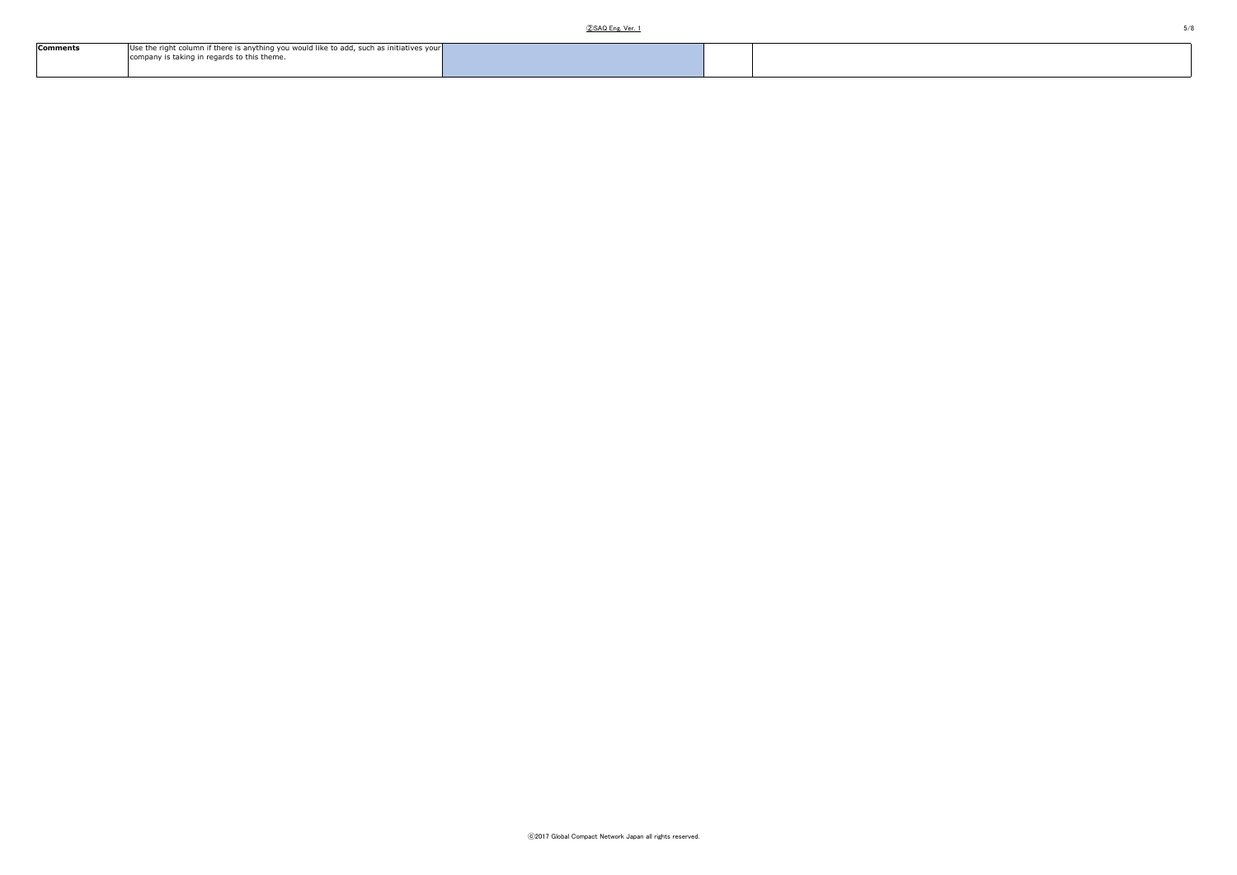| <b>Comments</b> | Use the right column if there is anything you would like to add, such as initiatives your |  |  |
|-----------------|-------------------------------------------------------------------------------------------|--|--|
|                 | company is taking in regards to this theme.                                               |  |  |
|                 |                                                                                           |  |  |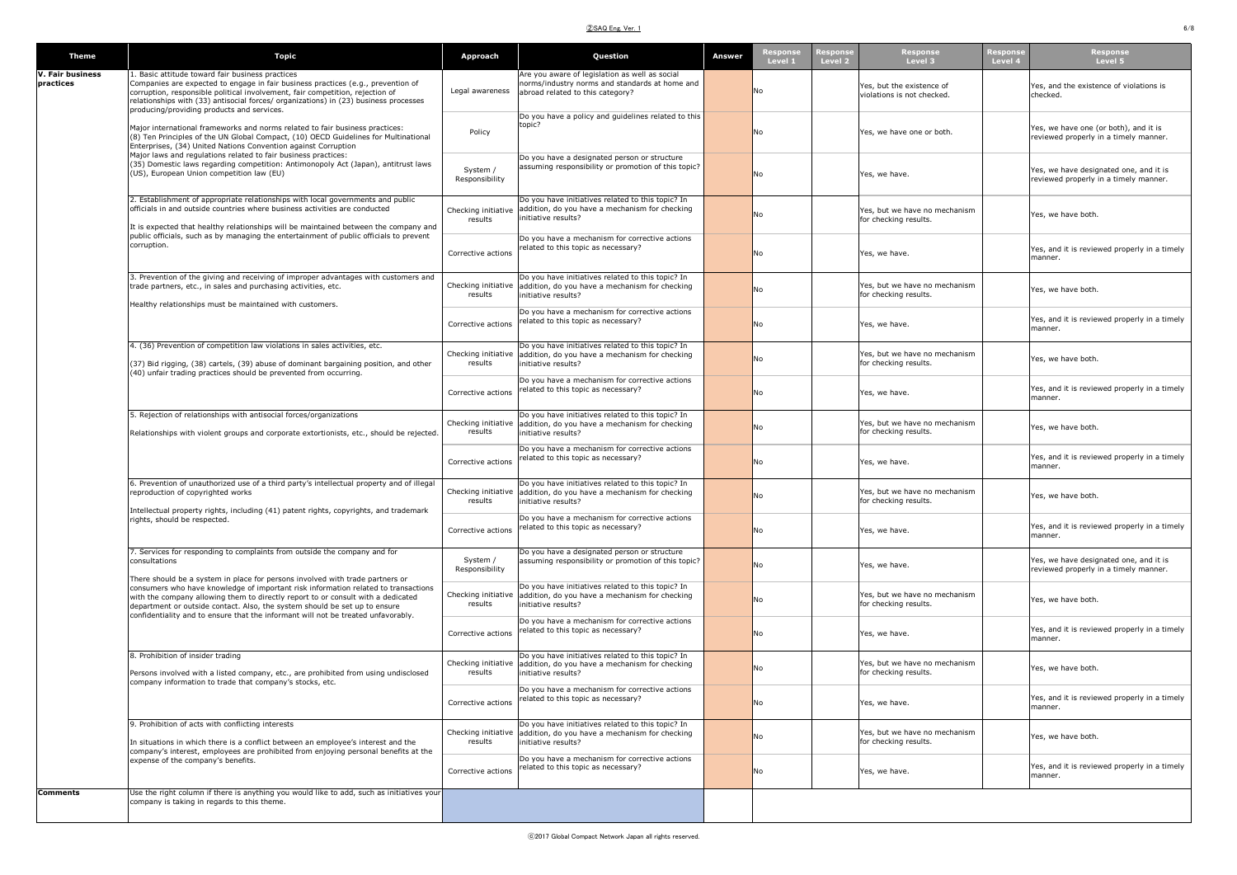## ②SAQ Eng. Ver. 1 6/8

| <b>Theme</b>                         | <b>Topic</b>                                                                                                                                                                                                                                                                                                                                                   | Approach                       | Question                                                                                                                                                 | Answer | Level 1        | Level 2 | Level 3                                                 | Level 4 | Level 5                                                                         |
|--------------------------------------|----------------------------------------------------------------------------------------------------------------------------------------------------------------------------------------------------------------------------------------------------------------------------------------------------------------------------------------------------------------|--------------------------------|----------------------------------------------------------------------------------------------------------------------------------------------------------|--------|----------------|---------|---------------------------------------------------------|---------|---------------------------------------------------------------------------------|
| <b>V. Fair business</b><br>practices | 1. Basic attitude toward fair business practices<br>Companies are expected to engage in fair business practices (e.g., prevention of<br>corruption, responsible political involvement, fair competition, rejection of<br>relationships with (33) antisocial forces/ organizations) in (23) business processes<br>producing/providing products and services.    | Legal awareness                | Are you aware of legislation as well as social<br>norms/industry norms and standards at home and<br>abroad related to this category?                     |        | No             |         | Yes, but the existence of<br>violations is not checked. |         | Yes, and the existence of violations is<br>checked.                             |
|                                      | Major international frameworks and norms related to fair business practices:<br>(8) Ten Principles of the UN Global Compact, (10) OECD Guidelines for Multinational<br>Enterprises, (34) United Nations Convention against Corruption                                                                                                                          | Policy                         | Do you have a policy and guidelines related to this<br>topic?                                                                                            |        | <b>No</b>      |         | Yes, we have one or both.                               |         | Yes, we have one (or both), and it is<br>reviewed properly in a timely manner.  |
|                                      | Major laws and regulations related to fair business practices:<br>(35) Domestic laws regarding competition: Antimonopoly Act (Japan), antitrust laws<br>(US), European Union competition law (EU)                                                                                                                                                              | System /<br>Responsibility     | Do you have a designated person or structure<br>assuming responsibility or promotion of this topic?                                                      |        | No             |         | Yes, we have.                                           |         | Yes, we have designated one, and it is<br>reviewed properly in a timely manner. |
|                                      | 2. Establishment of appropriate relationships with local governments and public<br>officials in and outside countries where business activities are conducted<br>It is expected that healthy relationships will be maintained between the company and<br>public officials, such as by managing the entertainment of public officials to prevent<br>corruption. | Checking initiative<br>results | Do you have initiatives related to this topic? In<br>addition, do you have a mechanism for checking<br>initiative results?                               |        | N <sub>o</sub> |         | Yes, but we have no mechanism<br>for checking results.  |         | Yes, we have both.                                                              |
|                                      |                                                                                                                                                                                                                                                                                                                                                                | Corrective actions             | Do you have a mechanism for corrective actions<br>related to this topic as necessary?                                                                    |        | No.            |         | Yes, we have.                                           |         | Yes, and it is reviewed properly in a timely<br>manner.                         |
|                                      | 3. Prevention of the giving and receiving of improper advantages with customers and<br>trade partners, etc., in sales and purchasing activities, etc.<br>Healthy relationships must be maintained with customers.                                                                                                                                              | Checking initiative<br>results | Do you have initiatives related to this topic? In<br>addition, do you have a mechanism for checking<br>initiative results?                               |        | <b>No</b>      |         | Yes, but we have no mechanism<br>for checking results.  |         | Yes, we have both.                                                              |
|                                      |                                                                                                                                                                                                                                                                                                                                                                | Corrective actions             | Do you have a mechanism for corrective actions<br>related to this topic as necessary?                                                                    |        | No             |         | Yes, we have.                                           |         | Yes, and it is reviewed properly in a timely<br>manner.                         |
|                                      | 4. (36) Prevention of competition law violations in sales activities, etc.<br>(37) Bid rigging, (38) cartels, (39) abuse of dominant bargaining position, and other<br>(40) unfair trading practices should be prevented from occurring.                                                                                                                       | Checking initiative<br>results | Do you have initiatives related to this topic? In<br>addition, do you have a mechanism for checking<br>initiative results?                               |        | N <sub>o</sub> |         | Yes, but we have no mechanism<br>for checking results.  |         | Yes, we have both.                                                              |
|                                      |                                                                                                                                                                                                                                                                                                                                                                | Corrective actions             | Do you have a mechanism for corrective actions<br>related to this topic as necessary?<br>Do you have initiatives related to this topic? In               |        | No             |         | Yes, we have.                                           |         | Yes, and it is reviewed properly in a timely<br>manner.                         |
|                                      | 5. Rejection of relationships with antisocial forces/organizations<br>Relationships with violent groups and corporate extortionists, etc., should be rejected.                                                                                                                                                                                                 | Checking initiative<br>results | addition, do you have a mechanism for checking<br>initiative results?<br>Do you have a mechanism for corrective actions                                  |        | No             |         | Yes, but we have no mechanism<br>for checking results.  |         | Yes, we have both.                                                              |
|                                      |                                                                                                                                                                                                                                                                                                                                                                | Corrective actions             | related to this topic as necessary?<br>Do you have initiatives related to this topic? In                                                                 |        | No             |         | Yes, we have.                                           |         | Yes, and it is reviewed properly in a timely<br>manner.                         |
|                                      | 6. Prevention of unauthorized use of a third party's intellectual property and of illegal<br>reproduction of copvrighted works<br>Intellectual property rights, including (41) patent rights, copyrights, and trademark                                                                                                                                        | Checking initiative<br>results | addition, do you have a mechanism for checking<br>initiative results?<br>Do you have a mechanism for corrective actions                                  |        | No             |         | Yes, but we have no mechanism<br>for checking results.  |         | Yes, we have both.                                                              |
|                                      | rights, should be respected.                                                                                                                                                                                                                                                                                                                                   | Corrective actions             | related to this topic as necessary?                                                                                                                      |        | No             |         | Yes, we have.                                           |         | Yes, and it is reviewed properly in a timely<br>manner.                         |
|                                      | 7. Services for responding to complaints from outside the company and for<br>consultations:<br>There should be a system in place for persons involved with trade partners or                                                                                                                                                                                   | System /<br>Responsibility     | Do you have a designated person or structure<br>assuming responsibility or promotion of this topic?<br>Do you have initiatives related to this topic? In |        | <b>No</b>      |         | Yes, we have.                                           |         | Yes, we have designated one, and it is<br>reviewed properly in a timely manner. |
|                                      | consumers who have knowledge of important risk information related to transactions<br>with the company allowing them to directly report to or consult with a dedicated<br>department or outside contact. Also, the system should be set up to ensure<br>confidentiality and to ensure that the informant will not be treated unfavorably.                      | Checking initiative<br>results | addition, do you have a mechanism for checking<br>initiative results?<br>Do you have a mechanism for corrective actions                                  |        | No             |         | Yes, but we have no mechanism<br>for checking results.  |         | Yes, we have both.                                                              |
|                                      | 8. Prohibition of insider trading                                                                                                                                                                                                                                                                                                                              | Corrective actions             | related to this topic as necessary?<br>Do you have initiatives related to this topic? In                                                                 |        | No             |         | Yes, we have.                                           |         | Yes, and it is reviewed properly in a timely<br>manner.                         |
|                                      | Persons involved with a listed company, etc., are prohibited from using undisclosed<br>company information to trade that company's stocks, etc.                                                                                                                                                                                                                | Checking initiative<br>results | addition, do you have a mechanism for checking<br>initiative results?<br>Do you have a mechanism for corrective actions                                  |        | No             |         | Yes, but we have no mechanism<br>for checking results.  |         | Yes, we have both.                                                              |
|                                      | 9. Prohibition of acts with conflicting interests                                                                                                                                                                                                                                                                                                              | Corrective actions             | related to this topic as necessary?<br>Do you have initiatives related to this topic? In                                                                 |        | N <sub>o</sub> |         | Yes, we have.                                           |         | Yes, and it is reviewed properly in a timely<br>manner.                         |
|                                      | In situations in which there is a conflict between an employee's interest and the<br>company's interest, employees are prohibited from enjoying personal benefits at the<br>expense of the company's benefits.                                                                                                                                                 | Checking initiative<br>results | addition, do you have a mechanism for checking<br>initiative results?<br>Do you have a mechanism for corrective actions                                  |        | No             |         | Yes, but we have no mechanism<br>for checking results.  |         | Yes, we have both.                                                              |
|                                      | Use the right column if there is anything you would like to add, such as initiatives your                                                                                                                                                                                                                                                                      | Corrective actions             | related to this topic as necessary?                                                                                                                      |        | No             |         | Yes, we have.                                           |         | Yes, and it is reviewed properly in a timely<br>manner.                         |
| Comments                             | company is taking in regards to this theme.                                                                                                                                                                                                                                                                                                                    |                                |                                                                                                                                                          |        |                |         |                                                         |         |                                                                                 |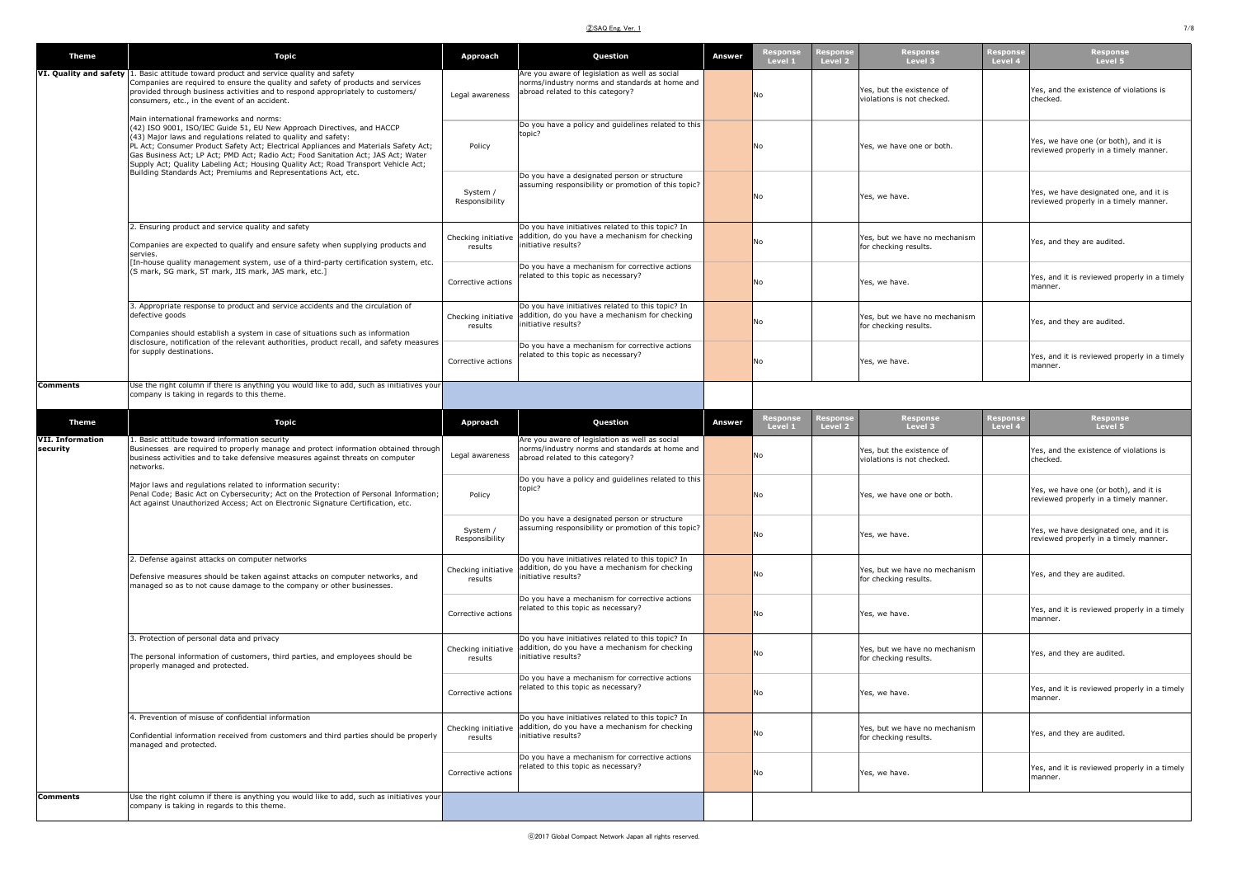## ②SAQ Eng. Ver. 1 7/8

| <b>Theme</b>                        | <b>Topic</b>                                                                                                                                                                                                                                                                                                                                                                                                                                                                                                              | Approach                       | Question                                                                                                                             | Answer | espons<br>Level 1   | Level 2            | Level 3                                                 | Level 4             | Response<br>Level 5                                                             |
|-------------------------------------|---------------------------------------------------------------------------------------------------------------------------------------------------------------------------------------------------------------------------------------------------------------------------------------------------------------------------------------------------------------------------------------------------------------------------------------------------------------------------------------------------------------------------|--------------------------------|--------------------------------------------------------------------------------------------------------------------------------------|--------|---------------------|--------------------|---------------------------------------------------------|---------------------|---------------------------------------------------------------------------------|
|                                     | VI. Quality and safety 1. Basic attitude toward product and service quality and safety<br>Companies are required to ensure the quality and safety of products and services<br>provided through business activities and to respond appropriately to customers/<br>consumers, etc., in the event of an accident.                                                                                                                                                                                                            | Legal awareness                | Are you aware of legislation as well as social<br>norms/industry norms and standards at home and<br>abroad related to this category? |        | No                  |                    | Yes, but the existence of<br>violations is not checked. |                     | Yes, and the existence of violations is<br>checked.                             |
|                                     | Main international frameworks and norms:<br>(42) ISO 9001, ISO/IEC Guide 51, EU New Approach Directives, and HACCP<br>(43) Major laws and regulations related to quality and safety:<br>PL Act; Consumer Product Safety Act; Electrical Appliances and Materials Safety Act;<br>Gas Business Act; LP Act; PMD Act; Radio Act; Food Sanitation Act; JAS Act; Water<br>Supply Act; Quality Labeling Act; Housing Quality Act; Road Transport Vehicle Act;<br>Building Standards Act; Premiums and Representations Act, etc. | Policy                         | Do you have a policy and guidelines related to this<br>topic?                                                                        |        | No                  |                    | Yes, we have one or both.                               |                     | Yes, we have one (or both), and it is<br>reviewed properly in a timely manner.  |
|                                     |                                                                                                                                                                                                                                                                                                                                                                                                                                                                                                                           | System /<br>Responsibility     | Do you have a designated person or structure<br>assuming responsibility or promotion of this topic?                                  |        | No                  |                    | Yes, we have.                                           |                     | Yes, we have designated one, and it is<br>reviewed properly in a timely manner. |
|                                     | 2. Ensuring product and service quality and safety<br>Companies are expected to qualify and ensure safety when supplying products and<br>servies.                                                                                                                                                                                                                                                                                                                                                                         | Checking initiative<br>results | Do you have initiatives related to this topic? In<br>addition, do you have a mechanism for checking<br>initiative results?           |        | No                  |                    | Yes, but we have no mechanism<br>for checking results.  |                     | Yes, and they are audited.                                                      |
|                                     | [In-house quality management system, use of a third-party certification system, etc.<br>(S mark, SG mark, ST mark, JIS mark, JAS mark, etc.)                                                                                                                                                                                                                                                                                                                                                                              | Corrective actions             | Do you have a mechanism for corrective actions<br>related to this topic as necessary?                                                |        | No                  |                    | Yes, we have.                                           |                     | Yes, and it is reviewed properly in a timely<br>manner.                         |
|                                     | 3. Appropriate response to product and service accidents and the circulation of<br>defective goods<br>Companies should establish a system in case of situations such as information                                                                                                                                                                                                                                                                                                                                       | Checking initiative<br>results | Do you have initiatives related to this topic? In<br>addition, do you have a mechanism for checking<br>initiative results?           |        | No                  |                    | Yes, but we have no mechanism<br>for checking results.  |                     | Yes, and they are audited.                                                      |
|                                     | disclosure, notification of the relevant authorities, product recall, and safety measures<br>for supply destinations.                                                                                                                                                                                                                                                                                                                                                                                                     | Corrective actions             | Do you have a mechanism for corrective actions<br>related to this topic as necessary?                                                |        | No                  |                    | Yes, we have.                                           |                     | Yes, and it is reviewed properly in a timely<br>manner.                         |
| <b>Comments</b>                     | Use the right column if there is anything you would like to add, such as initiatives your<br>company is taking in regards to this theme.                                                                                                                                                                                                                                                                                                                                                                                  |                                |                                                                                                                                      |        |                     |                    |                                                         |                     |                                                                                 |
| <b>Theme</b>                        | <b>Topic</b>                                                                                                                                                                                                                                                                                                                                                                                                                                                                                                              | <b>Approach</b>                | Question                                                                                                                             | Answer | Response<br>Level 1 | Respons<br>Level 2 | Response<br>Level 3                                     | Response<br>Level 4 | Response<br>Level 5                                                             |
| <b>VII. Information</b><br>security | 1. Basic attitude toward information security<br>Businesses are required to properly manage and protect information obtained through<br>business activities and to take defensive measures against threats on computer<br>networks.                                                                                                                                                                                                                                                                                       | Legal awareness                | Are you aware of legislation as well as social<br>norms/industry norms and standards at home and<br>abroad related to this category? |        | No                  |                    | Yes, but the existence of<br>violations is not checked. |                     | Yes, and the existence of violations is<br>checked.                             |
|                                     | Major laws and regulations related to information security:<br>Penal Code; Basic Act on Cybersecurity; Act on the Protection of Personal Information;<br>Act against Unauthorized Access; Act on Electronic Signature Certification, etc.                                                                                                                                                                                                                                                                                 | Policy                         | Do you have a policy and guidelines related to this<br>topic?                                                                        |        | No                  |                    | Yes, we have one or both.                               |                     | Yes, we have one (or both), and it is<br>reviewed properly in a timely manner.  |
|                                     |                                                                                                                                                                                                                                                                                                                                                                                                                                                                                                                           | System /<br>Responsibility     | Do you have a designated person or structure<br>assuming responsibility or promotion of this topic?                                  |        | No                  |                    | Yes, we have.                                           |                     | Yes, we have designated one, and it is<br>reviewed properly in a timely manner. |
|                                     | 2. Defense against attacks on computer networks<br>Defensive measures should be taken against attacks on computer networks, and<br>managed so as to not cause damage to the company or other businesses.                                                                                                                                                                                                                                                                                                                  | Checking initiative<br>results | Do you have initiatives related to this topic? In<br>addition, do you have a mechanism for checking<br>initiative results?           |        | No                  |                    | Yes, but we have no mechanism<br>for checking results.  |                     | Yes, and they are audited.                                                      |
|                                     |                                                                                                                                                                                                                                                                                                                                                                                                                                                                                                                           | Corrective actions             | Do you have a mechanism for corrective actions<br>related to this topic as necessary?                                                |        | No                  |                    | Yes, we have.                                           |                     | Yes, and it is reviewed properly in a timely<br>manner.                         |
|                                     | 3. Protection of personal data and privacy<br>The personal information of customers, third parties, and employees should be<br>properly managed and protected.                                                                                                                                                                                                                                                                                                                                                            | Checking initiative<br>results | Do you have initiatives related to this topic? In<br>addition, do you have a mechanism for checking<br>initiative results?           |        | No                  |                    | Yes, but we have no mechanism<br>for checking results.  |                     | Yes, and they are audited.                                                      |
|                                     |                                                                                                                                                                                                                                                                                                                                                                                                                                                                                                                           | Corrective actions             | Do you have a mechanism for corrective actions<br>related to this topic as necessary?                                                |        | No                  |                    | Yes, we have.                                           |                     | Yes, and it is reviewed properly in a timely<br>manner.                         |
|                                     | 4. Prevention of misuse of confidential information<br>Confidential information received from customers and third parties should be properly<br>managed and protected.                                                                                                                                                                                                                                                                                                                                                    | Checking initiative<br>results | Do you have initiatives related to this topic? In<br>addition, do you have a mechanism for checking<br>initiative results?           |        | No                  |                    | Yes, but we have no mechanism<br>for checking results.  |                     | Yes, and they are audited.                                                      |
|                                     |                                                                                                                                                                                                                                                                                                                                                                                                                                                                                                                           | Corrective actions             | Do you have a mechanism for corrective actions<br>related to this topic as necessary?                                                |        | No                  |                    | Yes, we have.                                           |                     | Yes, and it is reviewed properly in a timely<br>manner.                         |
| <b>Comments</b>                     | Use the right column if there is anything you would like to add, such as initiatives your<br>company is taking in regards to this theme.                                                                                                                                                                                                                                                                                                                                                                                  |                                |                                                                                                                                      |        |                     |                    |                                                         |                     |                                                                                 |